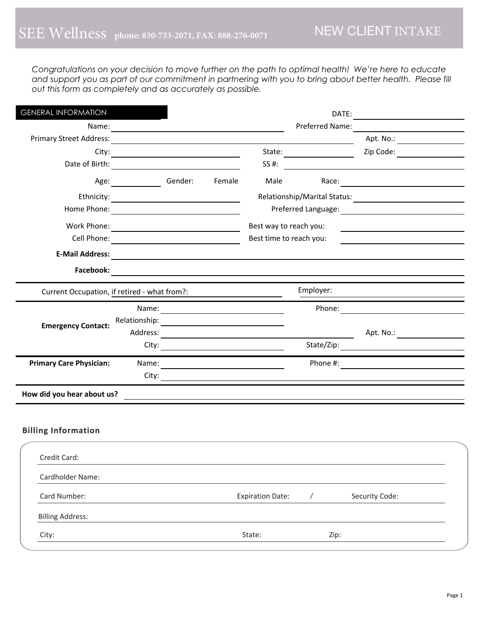*Congratulations on your decision to move further on the path to optimal health! We're here to educate and support you as part of our commitment in partnering with you to bring about better health. Please fill out this form as completely and as accurately as possible.* 

| <b>GENERAL INFORMATION</b>                   |                                                |        |                         |                 |                |                               |
|----------------------------------------------|------------------------------------------------|--------|-------------------------|-----------------|----------------|-------------------------------|
|                                              |                                                |        |                         | Preferred Name: |                |                               |
|                                              |                                                |        |                         |                 |                | Apt. No.: ___________________ |
|                                              |                                                |        |                         |                 |                |                               |
|                                              |                                                |        |                         |                 |                | SS #:                         |
|                                              | Age: Gender:                                   | Female |                         | Male            |                |                               |
|                                              |                                                |        |                         |                 |                |                               |
|                                              | Home Phone: <u>___________________________</u> |        |                         |                 |                |                               |
|                                              |                                                |        | Best way to reach you:  |                 |                |                               |
|                                              | Cell Phone:                                    |        | Best time to reach you: |                 |                |                               |
|                                              |                                                |        |                         |                 |                |                               |
| Facebook:                                    |                                                |        |                         |                 |                |                               |
| Current Occupation, if retired - what from?: |                                                |        |                         | Employer:       |                |                               |
|                                              |                                                |        |                         |                 |                |                               |
| <b>Emergency Contact:</b>                    |                                                |        |                         |                 |                |                               |
|                                              |                                                |        |                         |                 |                | Apt. No.: ___________________ |
|                                              |                                                |        | City:                   |                 |                |                               |
| <b>Primary Care Physician:</b>               |                                                |        |                         |                 |                |                               |
|                                              |                                                |        |                         |                 |                |                               |
| How did you hear about us?                   |                                                |        |                         |                 |                |                               |
| <b>Billing Information</b>                   |                                                |        |                         |                 |                |                               |
| Credit Card:                                 |                                                |        |                         |                 |                |                               |
| Cardholder Name:                             |                                                |        |                         |                 |                |                               |
| Card Number:                                 |                                                |        | <b>Expiration Date:</b> | $\sqrt{2}$      | Security Code: |                               |
| <b>Billing Address:</b>                      |                                                |        |                         |                 |                |                               |
| City:                                        |                                                |        | State:                  | Zip:            |                |                               |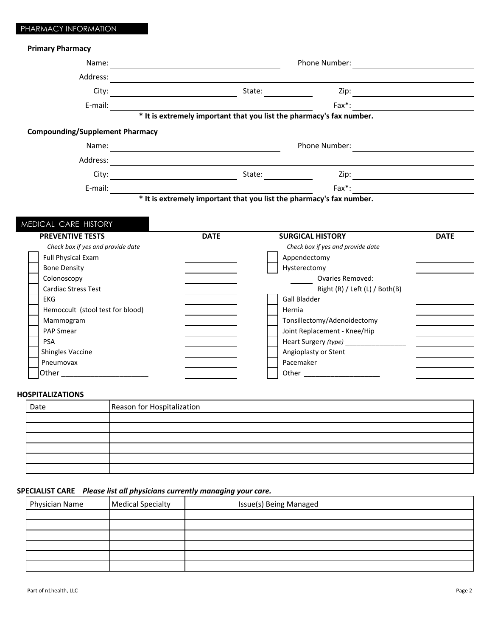ı

| <b>Primary Pharmacy</b>                                                                                                               |                                                                                                          |                         |                                         |             |
|---------------------------------------------------------------------------------------------------------------------------------------|----------------------------------------------------------------------------------------------------------|-------------------------|-----------------------------------------|-------------|
|                                                                                                                                       |                                                                                                          |                         |                                         |             |
|                                                                                                                                       |                                                                                                          |                         |                                         |             |
|                                                                                                                                       |                                                                                                          |                         |                                         |             |
|                                                                                                                                       |                                                                                                          |                         |                                         |             |
| E-mail: $\overline{\phantom{231}}$ Fax*: $\overline{\phantom{231}}$ Fax*: $\overline{\phantom{231}}$ Fax*: $\overline{\phantom{231}}$ |                                                                                                          |                         | $\mathsf{Fax}^*$ :                      |             |
| <b>Compounding/Supplement Pharmacy</b>                                                                                                |                                                                                                          |                         |                                         |             |
|                                                                                                                                       |                                                                                                          |                         |                                         |             |
|                                                                                                                                       |                                                                                                          |                         |                                         |             |
|                                                                                                                                       |                                                                                                          |                         |                                         |             |
|                                                                                                                                       | <b>Fax*:</b><br><b>The Solution of the sextremely important that you list the pharmacy's fax number.</b> |                         |                                         | $Fax^*$ :   |
|                                                                                                                                       |                                                                                                          |                         |                                         |             |
| MEDICAL CARE HISTORY<br><b>PREVENTIVE TESTS</b>                                                                                       | <b>DATE</b>                                                                                              | <b>SURGICAL HISTORY</b> |                                         | <b>DATE</b> |
| Check box if yes and provide date                                                                                                     |                                                                                                          |                         | Check box if yes and provide date       |             |
| <b>Full Physical Exam</b>                                                                                                             |                                                                                                          | Appendectomy            |                                         |             |
| <b>Bone Density</b>                                                                                                                   |                                                                                                          | Hysterectomy            |                                         |             |
| Colonoscopy                                                                                                                           |                                                                                                          |                         | Ovaries Removed:                        |             |
| <b>Cardiac Stress Test</b><br><b>EKG</b>                                                                                              |                                                                                                          | <b>Gall Bladder</b>     | Right (R) / Left (L) / Both(B)          |             |
| Hemoccult (stool test for blood)                                                                                                      |                                                                                                          | Hernia                  |                                         |             |
| Mammogram                                                                                                                             |                                                                                                          |                         | Tonsillectomy/Adenoidectomy             |             |
| PAP Smear                                                                                                                             |                                                                                                          |                         | Joint Replacement - Knee/Hip            |             |
| <b>PSA</b>                                                                                                                            |                                                                                                          |                         | Heart Surgery (type) __________________ |             |
| <b>Shingles Vaccine</b>                                                                                                               |                                                                                                          | Angioplasty or Stent    |                                         |             |
| Pneumovax<br>Other __________________________                                                                                         |                                                                                                          | Pacemaker               |                                         |             |

# Date Reason for Hospitalization

## SPECIALIST CARE Please list all physicians currently managing your care.

| Physician Name | Medical Specialty | Issue(s) Being Managed |
|----------------|-------------------|------------------------|
|                |                   |                        |
|                |                   |                        |
|                |                   |                        |
|                |                   |                        |
|                |                   |                        |
|                |                   |                        |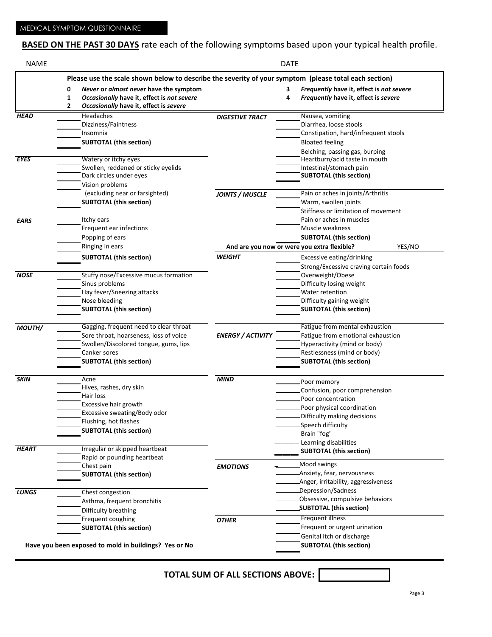# **BASED ON THE PAST 30 DAYS** rate each of the following symptoms based upon your typical health profile.

| <b>NAME</b>  | <b>DATE</b>                                                                                           |                                                       |                          |   |                                                                 |  |  |  |  |
|--------------|-------------------------------------------------------------------------------------------------------|-------------------------------------------------------|--------------------------|---|-----------------------------------------------------------------|--|--|--|--|
|              | Please use the scale shown below to describe the severity of your symptom (please total each section) |                                                       |                          |   |                                                                 |  |  |  |  |
|              | 0                                                                                                     | Never or almost never have the symptom                |                          | З | Frequently have it, effect is not severe                        |  |  |  |  |
|              | $\mathbf{1}$                                                                                          | Occasionally have it, effect is not severe            |                          | 4 | Frequently have it, effect is severe                            |  |  |  |  |
|              | $\overline{2}$                                                                                        | Occasionally have it, effect is severe                |                          |   |                                                                 |  |  |  |  |
| <b>HEAD</b>  |                                                                                                       | Headaches                                             | <b>DIGESTIVE TRACT</b>   |   | Nausea, vomiting                                                |  |  |  |  |
|              |                                                                                                       | Dizziness/Faintness                                   |                          |   | Diarrhea, loose stools                                          |  |  |  |  |
|              |                                                                                                       | Insomnia                                              |                          |   | Constipation, hard/infrequent stools                            |  |  |  |  |
|              |                                                                                                       | <b>SUBTOTAL (this section)</b>                        |                          |   | <b>Bloated feeling</b>                                          |  |  |  |  |
|              |                                                                                                       |                                                       |                          |   | Belching, passing gas, burping                                  |  |  |  |  |
| <b>EYES</b>  |                                                                                                       | Watery or itchy eyes                                  |                          |   | Heartburn/acid taste in mouth                                   |  |  |  |  |
|              |                                                                                                       | Swollen, reddened or sticky eyelids                   |                          |   | Intestinal/stomach pain                                         |  |  |  |  |
|              |                                                                                                       | Dark circles under eyes                               |                          |   | <b>SUBTOTAL (this section)</b>                                  |  |  |  |  |
|              |                                                                                                       | Vision problems                                       |                          |   |                                                                 |  |  |  |  |
|              |                                                                                                       | (excluding near or farsighted)                        | <b>JOINTS / MUSCLE</b>   |   | Pain or aches in joints/Arthritis                               |  |  |  |  |
|              |                                                                                                       | <b>SUBTOTAL (this section)</b>                        |                          |   | Warm, swollen joints                                            |  |  |  |  |
|              |                                                                                                       |                                                       |                          |   | Stiffness or limitation of movement<br>Pain or aches in muscles |  |  |  |  |
| <b>EARS</b>  |                                                                                                       | Itchy ears                                            |                          |   |                                                                 |  |  |  |  |
|              |                                                                                                       | Frequent ear infections                               |                          |   | Muscle weakness                                                 |  |  |  |  |
|              |                                                                                                       | Popping of ears                                       |                          |   | <b>SUBTOTAL (this section)</b>                                  |  |  |  |  |
|              |                                                                                                       | Ringing in ears                                       |                          |   | YES/NO<br>And are you now or were you extra flexible?           |  |  |  |  |
|              |                                                                                                       | <b>SUBTOTAL (this section)</b>                        | <b>WEIGHT</b>            |   | Excessive eating/drinking                                       |  |  |  |  |
|              |                                                                                                       |                                                       |                          |   | Strong/Excessive craving certain foods                          |  |  |  |  |
| <b>NOSE</b>  |                                                                                                       | Stuffy nose/Excessive mucus formation                 |                          |   | Overweight/Obese                                                |  |  |  |  |
|              |                                                                                                       | Sinus problems                                        |                          |   | Difficulty losing weight                                        |  |  |  |  |
|              |                                                                                                       | Hay fever/Sneezing attacks                            |                          |   | Water retention                                                 |  |  |  |  |
|              |                                                                                                       | Nose bleeding                                         |                          |   | Difficulty gaining weight                                       |  |  |  |  |
|              |                                                                                                       | <b>SUBTOTAL (this section)</b>                        |                          |   | <b>SUBTOTAL (this section)</b>                                  |  |  |  |  |
| MOUTH/       |                                                                                                       | Gagging, frequent need to clear throat                |                          |   | Fatigue from mental exhaustion                                  |  |  |  |  |
|              |                                                                                                       | Sore throat, hoarseness, loss of voice                | <b>ENERGY / ACTIVITY</b> |   | Fatigue from emotional exhaustion                               |  |  |  |  |
|              |                                                                                                       | Swollen/Discolored tongue, gums, lips                 |                          |   | Hyperactivity (mind or body)                                    |  |  |  |  |
|              |                                                                                                       | Canker sores                                          |                          |   | Restlessness (mind or body)                                     |  |  |  |  |
|              |                                                                                                       | <b>SUBTOTAL (this section)</b>                        |                          |   | <b>SUBTOTAL (this section)</b>                                  |  |  |  |  |
|              |                                                                                                       |                                                       |                          |   |                                                                 |  |  |  |  |
| <b>SKIN</b>  |                                                                                                       | Acne                                                  | <b>MIND</b>              |   | Poor memory                                                     |  |  |  |  |
|              |                                                                                                       | Hives, rashes, dry skin                               |                          |   | Confusion, poor comprehension                                   |  |  |  |  |
|              |                                                                                                       | Hair loss                                             |                          |   | Poor concentration                                              |  |  |  |  |
|              |                                                                                                       | Excessive hair growth                                 |                          |   | Poor physical coordination                                      |  |  |  |  |
|              |                                                                                                       | Excessive sweating/Body odor                          |                          |   | Difficulty making decisions                                     |  |  |  |  |
|              |                                                                                                       | Flushing, hot flashes                                 |                          |   | -Speech difficulty                                              |  |  |  |  |
|              |                                                                                                       | <b>SUBTOTAL (this section)</b>                        |                          |   | Brain "fog"                                                     |  |  |  |  |
|              |                                                                                                       |                                                       |                          |   | Learning disabilities                                           |  |  |  |  |
| <b>HEART</b> |                                                                                                       | Irregular or skipped heartbeat                        |                          |   | <b>SUBTOTAL (this section)</b>                                  |  |  |  |  |
|              |                                                                                                       | Rapid or pounding heartbeat                           |                          |   |                                                                 |  |  |  |  |
|              |                                                                                                       | Chest pain                                            | <b>EMOTIONS</b>          |   | Mood swings                                                     |  |  |  |  |
|              |                                                                                                       | <b>SUBTOTAL (this section)</b>                        |                          |   | Anxiety, fear, nervousness                                      |  |  |  |  |
|              |                                                                                                       |                                                       |                          |   | Anger, irritability, aggressiveness                             |  |  |  |  |
| <b>LUNGS</b> |                                                                                                       | Chest congestion                                      |                          |   | Depression/Sadness                                              |  |  |  |  |
|              |                                                                                                       | Asthma, frequent bronchitis                           |                          |   | -Obsessive, compulsive behaviors                                |  |  |  |  |
|              |                                                                                                       | Difficulty breathing                                  |                          |   | SUBTOTAL (this section)                                         |  |  |  |  |
|              |                                                                                                       | Frequent coughing                                     | <b>OTHER</b>             |   | Frequent illness                                                |  |  |  |  |
|              |                                                                                                       | <b>SUBTOTAL (this section)</b>                        |                          |   | Frequent or urgent urination                                    |  |  |  |  |
|              |                                                                                                       |                                                       |                          |   | Genital itch or discharge                                       |  |  |  |  |
|              |                                                                                                       | Have you been exposed to mold in buildings? Yes or No |                          |   | <b>SUBTOTAL (this section)</b>                                  |  |  |  |  |

**TOTAL SUM OF ALL SECTIONS ABOVE:**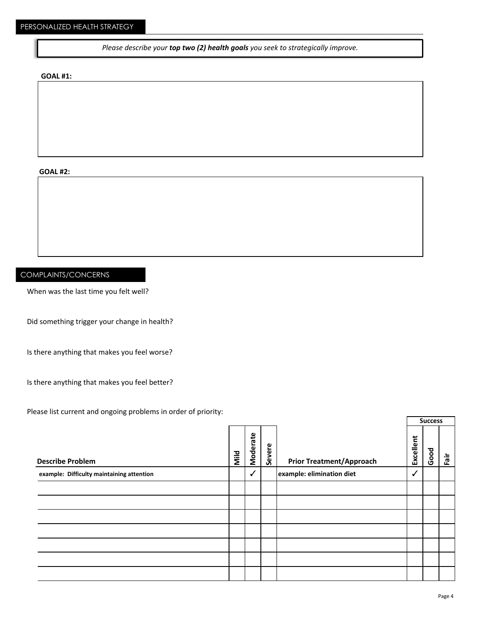*Please describe your top two (2) health goals you seek to strategically improve.* 

#### **GOAL #1:**

**GOAL #2:**

#### COMPLAINTS/CONCERNS

When was the last time you felt well?

Did something trigger your change in health?

Is there anything that makes you feel worse?

Is there anything that makes you feel better?

Please list current and ongoing problems in order of priority:

|                                           |      |                 |        |                                 |           | <b>Success</b> |    |
|-------------------------------------------|------|-----------------|--------|---------------------------------|-----------|----------------|----|
| <b>Describe Problem</b>                   | Mild | <b>Moderate</b> | Severe | <b>Prior Treatment/Approach</b> | Excellent | Good           | Ϊĝ |
| example: Difficulty maintaining attention |      | $\checkmark$    |        | example: elimination diet       | ✓         |                |    |
|                                           |      |                 |        |                                 |           |                |    |
|                                           |      |                 |        |                                 |           |                |    |
|                                           |      |                 |        |                                 |           |                |    |
|                                           |      |                 |        |                                 |           |                |    |
|                                           |      |                 |        |                                 |           |                |    |
|                                           |      |                 |        |                                 |           |                |    |
|                                           |      |                 |        |                                 |           |                |    |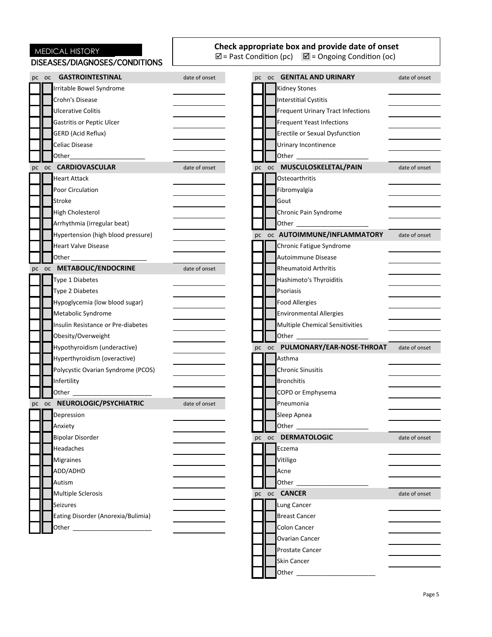|       | MEDICAL HISTORY<br>DISEASES/DIAGNOSES/CONDITIONS |               | Check appropriate box and provide date of onset<br>$\overline{\boxtimes}$ = Past Condition (pc) $\overline{\boxtimes}$ = Ongoing Condition (oc)                                                                                      |  |
|-------|--------------------------------------------------|---------------|--------------------------------------------------------------------------------------------------------------------------------------------------------------------------------------------------------------------------------------|--|
| pc oc | <b>GASTROINTESTINAL</b>                          | date of onset | pc oc <b>GENITAL AND URINARY</b><br>date of onset                                                                                                                                                                                    |  |
|       | Irritable Bowel Syndrome                         |               | <b>Kidney Stones</b>                                                                                                                                                                                                                 |  |
|       | Crohn's Disease                                  |               | <b>Interstitial Cystitis</b>                                                                                                                                                                                                         |  |
|       | <b>Ulcerative Colitis</b>                        |               | Frequent Urinary Tract Infections                                                                                                                                                                                                    |  |
|       | <b>Gastritis or Peptic Ulcer</b>                 |               | <b>Frequent Yeast Infections</b>                                                                                                                                                                                                     |  |
|       | <b>GERD</b> (Acid Reflux)                        |               | Erectile or Sexual Dysfunction                                                                                                                                                                                                       |  |
|       | Celiac Disease                                   |               | Urinary Incontinence                                                                                                                                                                                                                 |  |
|       | Other Theory                                     |               | Other <b>Communist Communist Communist Communist Communist Communist Communist Communist Communist Communist Communist Communist Communist Communist Communist Communist Communist Communist Communist Communist Communist Commu</b> |  |
| pc oc | <b>CARDIOVASCULAR</b>                            | date of onset | pc oc MUSCULOSKELETAL/PAIN<br>date of onset                                                                                                                                                                                          |  |
|       | <b>Heart Attack</b>                              |               | Osteoarthritis                                                                                                                                                                                                                       |  |
|       | Poor Circulation                                 |               | Fibromyalgia                                                                                                                                                                                                                         |  |
|       | Stroke                                           |               | Gout                                                                                                                                                                                                                                 |  |
|       | <b>High Cholesterol</b>                          |               | Chronic Pain Syndrome                                                                                                                                                                                                                |  |
|       | Arrhythmia (irregular beat)                      |               | Other <b>Communist Communist Communist Communist Communist Communist Communist Communist Communist Communist Communist Communist Communist Communist Communist Communist Communist Communist Communist Communist Communist Commu</b> |  |
|       | Hypertension (high blood pressure)               |               | pc oc AUTOIMMUNE/INFLAMMATORY<br>date of onset                                                                                                                                                                                       |  |
|       | <b>Heart Valve Disease</b>                       |               | Chronic Fatigue Syndrome                                                                                                                                                                                                             |  |
|       |                                                  |               | Autoimmune Disease                                                                                                                                                                                                                   |  |
|       | pc oc METABOLIC/ENDOCRINE                        | date of onset | <b>Rheumatoid Arthritis</b>                                                                                                                                                                                                          |  |
|       | Type 1 Diabetes                                  |               | Hashimoto's Thyroiditis                                                                                                                                                                                                              |  |
|       | Type 2 Diabetes                                  |               | Psoriasis                                                                                                                                                                                                                            |  |
|       | Hypoglycemia (low blood sugar)                   |               | <b>Food Allergies</b>                                                                                                                                                                                                                |  |
|       | Metabolic Syndrome                               |               | <b>Environmental Allergies</b>                                                                                                                                                                                                       |  |
|       | Insulin Resistance or Pre-diabetes               |               | Multiple Chemical Sensitivities                                                                                                                                                                                                      |  |
|       | Obesity/Overweight                               |               |                                                                                                                                                                                                                                      |  |
|       | Hypothyroidism (underactive)                     |               | pc oc PULMONARY/EAR-NOSE-THROAT<br>date of onset                                                                                                                                                                                     |  |
|       | Hyperthyroidism (overactive)                     |               | Asthma                                                                                                                                                                                                                               |  |
|       | Polycystic Ovarian Syndrome (PCOS)               |               | <b>Chronic Sinusitis</b>                                                                                                                                                                                                             |  |
|       | Infertility                                      |               | <b>Bronchitis</b>                                                                                                                                                                                                                    |  |
|       | Other                                            |               | COPD or Emphysema                                                                                                                                                                                                                    |  |
|       | pc oc NEUROLOGIC/PSYCHIATRIC                     | date of onset | Pneumonia                                                                                                                                                                                                                            |  |
|       | Depression                                       |               | Sleep Apnea                                                                                                                                                                                                                          |  |
|       | Anxiety                                          |               | Other <sub>______</sub>                                                                                                                                                                                                              |  |
|       | <b>Bipolar Disorder</b>                          |               | pc oc DERMATOLOGIC<br>date of onset                                                                                                                                                                                                  |  |
|       | Headaches                                        |               | Eczema                                                                                                                                                                                                                               |  |
|       | <b>Migraines</b>                                 |               | Vitiligo                                                                                                                                                                                                                             |  |
|       | ADD/ADHD                                         |               | Acne                                                                                                                                                                                                                                 |  |
|       | Autism                                           |               | Other $\overline{\phantom{a}}$                                                                                                                                                                                                       |  |
|       | <b>Multiple Sclerosis</b>                        |               | pc oc <b>CANCER</b><br>date of onset                                                                                                                                                                                                 |  |
|       | Seizures                                         |               | Lung Cancer                                                                                                                                                                                                                          |  |
|       | Eating Disorder (Anorexia/Bulimia)               |               | <b>Breast Cancer</b>                                                                                                                                                                                                                 |  |
|       |                                                  |               | Colon Cancer                                                                                                                                                                                                                         |  |
|       |                                                  |               | Ovarian Cancer                                                                                                                                                                                                                       |  |
|       |                                                  |               | Prostate Cancer                                                                                                                                                                                                                      |  |
|       |                                                  |               | Skin Cancer                                                                                                                                                                                                                          |  |
|       |                                                  |               |                                                                                                                                                                                                                                      |  |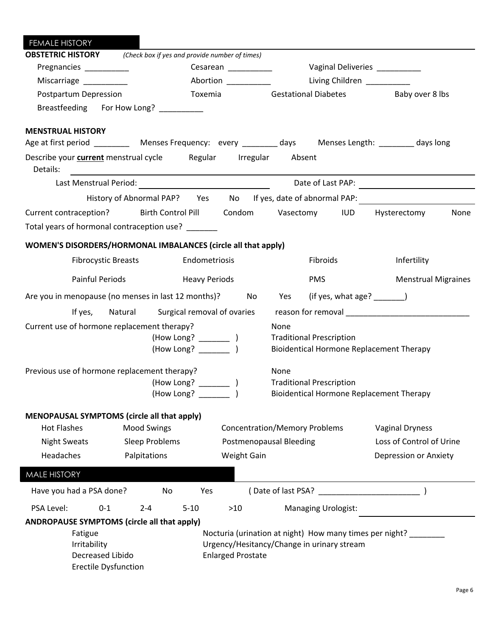| <b>FEMALE HISTORY</b>                                                                                                                      |                                                    |                          |                                                                                                               |                                                                                                                 |
|--------------------------------------------------------------------------------------------------------------------------------------------|----------------------------------------------------|--------------------------|---------------------------------------------------------------------------------------------------------------|-----------------------------------------------------------------------------------------------------------------|
| <b>OBSTETRIC HISTORY</b> (Check box if yes and provide number of times)                                                                    |                                                    |                          |                                                                                                               |                                                                                                                 |
| Pregnancies __________                                                                                                                     |                                                    | Cesarean ____________    | Vaginal Deliveries __________                                                                                 |                                                                                                                 |
| Miscarriage _________                                                                                                                      |                                                    | Abortion __________      | Living Children                                                                                               |                                                                                                                 |
| Postpartum Depression                                                                                                                      |                                                    | Toxemia                  | Gestational Diabetes Baby over 8 lbs                                                                          |                                                                                                                 |
| Breastfeeding For How Long? __________                                                                                                     |                                                    |                          |                                                                                                               |                                                                                                                 |
| <b>MENSTRUAL HISTORY</b><br>Age at first period ___________ Menses Frequency: every _________ days ____ Menses Length: _________ days long |                                                    |                          |                                                                                                               |                                                                                                                 |
| Describe your current menstrual cycle Regular Irregular Absent<br>Details:                                                                 | <u> 1989 - John Stein, Amerikaansk politiker (</u> |                          |                                                                                                               |                                                                                                                 |
|                                                                                                                                            |                                                    |                          |                                                                                                               |                                                                                                                 |
|                                                                                                                                            |                                                    |                          |                                                                                                               | History of Abnormal PAP? Yes No If yes, date of abnormal PAP:                                                   |
| Current contraception? Birth Control Pill Condom Vasectomy IUD Hysterectomy                                                                |                                                    |                          |                                                                                                               | None                                                                                                            |
| Total years of hormonal contraception use? ______                                                                                          |                                                    |                          |                                                                                                               |                                                                                                                 |
| WOMEN'S DISORDERS/HORMONAL IMBALANCES (circle all that apply)                                                                              |                                                    |                          |                                                                                                               |                                                                                                                 |
| <b>Fibrocystic Breasts</b>                                                                                                                 |                                                    | Endometriosis            | Fibroids                                                                                                      | Infertility                                                                                                     |
| <b>Painful Periods</b>                                                                                                                     | <b>Heavy Periods</b>                               |                          | <b>PMS</b>                                                                                                    | <b>Menstrual Migraines</b>                                                                                      |
| Are you in menopause (no menses in last 12 months)? No Yes                                                                                 |                                                    |                          | (if yes, what age? $\frac{1}{\sqrt{1-\frac{1}{2}}}\$                                                          |                                                                                                                 |
|                                                                                                                                            | If yes, Natural Surgical removal of ovaries        |                          |                                                                                                               | reason for removal example and the set of the set of the set of the set of the set of the set of the set of the |
| Current use of hormone replacement therapy?                                                                                                |                                                    |                          | None<br><b>Traditional Prescription</b><br>Bioidentical Hormone Replacement Therapy                           |                                                                                                                 |
| Previous use of hormone replacement therapy?                                                                                               | (How Long? ______                                  |                          | None<br><b>Traditional Prescription</b><br><b>Bioidentical Hormone Replacement Therapy</b>                    |                                                                                                                 |
| MENOPAUSAL SYMPTOMS (circle all that apply)                                                                                                |                                                    |                          |                                                                                                               |                                                                                                                 |
| <b>Hot Flashes</b>                                                                                                                         | <b>Mood Swings</b>                                 |                          | <b>Concentration/Memory Problems</b>                                                                          | <b>Vaginal Dryness</b>                                                                                          |
| <b>Night Sweats</b>                                                                                                                        | Sleep Problems                                     |                          | <b>Postmenopausal Bleeding</b>                                                                                | Loss of Control of Urine                                                                                        |
| Headaches                                                                                                                                  | Palpitations                                       | <b>Weight Gain</b>       |                                                                                                               | Depression or Anxiety                                                                                           |
| <b>MALE HISTORY</b>                                                                                                                        |                                                    |                          |                                                                                                               |                                                                                                                 |
| Have you had a PSA done?                                                                                                                   | No                                                 | Yes                      | (Date of last PSA? )                                                                                          |                                                                                                                 |
| PSA Level:<br>$0 - 1$                                                                                                                      | $2 - 4$<br>$5 - 10$                                | $>10$                    | <b>Managing Urologist:</b>                                                                                    |                                                                                                                 |
| ANDROPAUSE SYMPTOMS (circle all that apply)<br>Fatigue<br>Irritability<br>Decreased Libido<br><b>Erectile Dysfunction</b>                  |                                                    | <b>Enlarged Prostate</b> | Nocturia (urination at night) How many times per night? _______<br>Urgency/Hesitancy/Change in urinary stream |                                                                                                                 |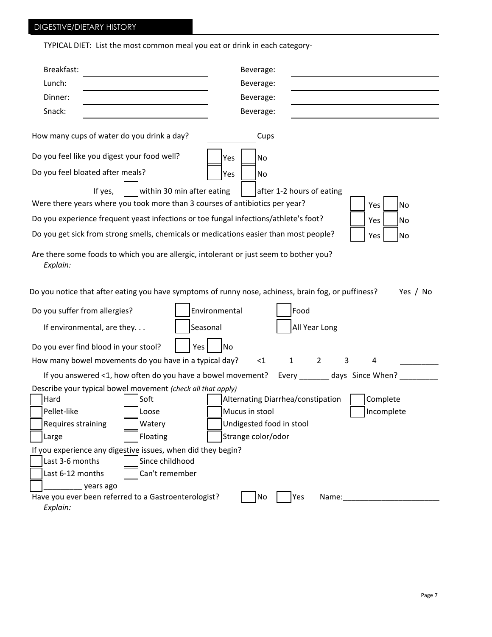# DIGESTIVE/DIETARY HISTORY

TYPICAL DIET: List the most common meal you eat or drink in each category-

| Breakfast:<br>Beverage:                                                                                         |
|-----------------------------------------------------------------------------------------------------------------|
| Lunch:<br>Beverage:                                                                                             |
| Dinner:<br>Beverage:                                                                                            |
| Snack:<br>Beverage:                                                                                             |
|                                                                                                                 |
| How many cups of water do you drink a day?<br>Cups                                                              |
| Do you feel like you digest your food well?<br>Yes<br><b>No</b>                                                 |
| Do you feel bloated after meals?<br>Yes<br>No                                                                   |
| If yes,<br>within 30 min after eating<br>after 1-2 hours of eating                                              |
| Were there years where you took more than 3 courses of antibiotics per year?<br>Yes<br><b>No</b>                |
| Do you experience frequent yeast infections or toe fungal infections/athlete's foot?<br>Yes<br>No               |
| Do you get sick from strong smells, chemicals or medications easier than most people?<br>Yes<br>No              |
| Are there some foods to which you are allergic, intolerant or just seem to bother you?<br>Explain:              |
| Do you notice that after eating you have symptoms of runny nose, achiness, brain fog, or puffiness?<br>Yes / No |
| Environmental<br>Food<br>Do you suffer from allergies?                                                          |
| Seasonal<br>All Year Long<br>If environmental, are they                                                         |
|                                                                                                                 |
| Do you ever find blood in your stool?<br>Yes<br>No                                                              |
| How many bowel movements do you have in a typical day?<br>$\mathbf{1}$<br>$\overline{2}$<br>3<br>$<$ 1<br>4     |
| If you answered <1, how often do you have a bowel movement?<br>Every ________ days Since When?                  |
| Describe your typical bowel movement (check all that apply)                                                     |
| Hard<br>Alternating Diarrhea/constipation<br>Complete<br> Soft                                                  |
| Pellet-like<br>Mucus in stool<br>Incomplete<br>Loose                                                            |
| Undigested food in stool<br>Requires straining<br>Watery                                                        |
| Floating<br>Strange color/odor<br>Large                                                                         |
| If you experience any digestive issues, when did they begin?                                                    |
| Since childhood<br>Last 3-6 months                                                                              |
| Last 6-12 months<br>Can't remember                                                                              |
| years ago                                                                                                       |
| Have you ever been referred to a Gastroenterologist?<br>Yes<br>No<br>Name:                                      |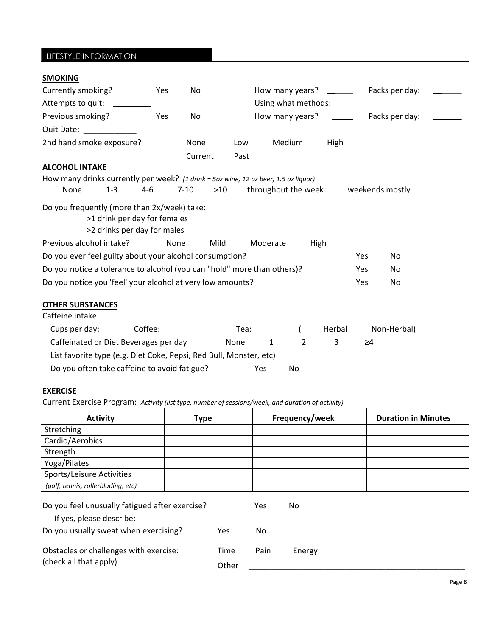| LIFESTYLE INFORMATION                                                               |                                                             |         |      |             |                                         |                     |      |        |                |                 |  |
|-------------------------------------------------------------------------------------|-------------------------------------------------------------|---------|------|-------------|-----------------------------------------|---------------------|------|--------|----------------|-----------------|--|
| <b>SMOKING</b>                                                                      |                                                             |         |      |             |                                         |                     |      |        |                |                 |  |
| Currently smoking?                                                                  |                                                             |         | Yes  | No          |                                         | How many years?     |      |        |                | Packs per day:  |  |
| Attempts to quit: _________                                                         |                                                             |         |      |             | Using what methods: Using what methods: |                     |      |        |                |                 |  |
| Previous smoking?                                                                   |                                                             |         | Yes  | No          | How many years?                         |                     |      |        | Packs per day: |                 |  |
| Quit Date: 2008                                                                     |                                                             |         |      |             |                                         |                     |      |        |                |                 |  |
| 2nd hand smoke exposure?                                                            |                                                             |         |      | <b>None</b> | Low                                     | Medium              |      | High   |                |                 |  |
|                                                                                     |                                                             |         |      | Current     | Past                                    |                     |      |        |                |                 |  |
| <b>ALCOHOL INTAKE</b>                                                               |                                                             |         |      |             |                                         |                     |      |        |                |                 |  |
| How many drinks currently per week? (1 drink = 5oz wine, 12 oz beer, 1.5 oz liquor) |                                                             |         |      |             |                                         |                     |      |        |                |                 |  |
| None                                                                                | $1 - 3$                                                     | $4 - 6$ |      | $7 - 10$    | $>10$                                   | throughout the week |      |        |                | weekends mostly |  |
| Do you frequently (more than 2x/week) take:                                         | >1 drink per day for females<br>>2 drinks per day for males |         |      |             |                                         |                     |      |        |                |                 |  |
| Previous alcohol intake?                                                            |                                                             |         | None | Mild        |                                         | Moderate            | High |        |                |                 |  |
| Do you ever feel guilty about your alcohol consumption?                             |                                                             |         |      |             |                                         |                     |      |        | Yes            | N <sub>o</sub>  |  |
| Do you notice a tolerance to alcohol (you can "hold" more than others)?             |                                                             |         |      |             |                                         |                     |      |        | Yes            | No              |  |
| Do you notice you 'feel' your alcohol at very low amounts?                          |                                                             |         |      |             |                                         |                     |      |        | Yes            | N <sub>o</sub>  |  |
| <b>OTHER SUBSTANCES</b><br>Caffeine intake                                          |                                                             |         |      |             |                                         |                     |      |        |                |                 |  |
| Cups per day:                                                                       |                                                             | Coffee: |      |             | Tea:                                    |                     |      | Herbal |                | Non-Herbal)     |  |
| Caffeinated or Diet Beverages per day                                               |                                                             |         |      |             | None                                    | 1                   | 2    | 3      | $\geq 4$       |                 |  |
| List favorite type (e.g. Diet Coke, Pepsi, Red Bull, Monster, etc)                  |                                                             |         |      |             |                                         |                     |      |        |                |                 |  |

| Do you often take caffeine to avoid fatigue? | Yes. | No. |
|----------------------------------------------|------|-----|
|----------------------------------------------|------|-----|

## **EXERCISE**

Current Exercise Program: Activity (list type, number of sessions/week, and duration of activity)

| <b>Activity</b>                                                            | <b>Type</b> |       |      | Frequency/week | <b>Duration in Minutes</b> |
|----------------------------------------------------------------------------|-------------|-------|------|----------------|----------------------------|
| Stretching                                                                 |             |       |      |                |                            |
| Cardio/Aerobics                                                            |             |       |      |                |                            |
| Strength                                                                   |             |       |      |                |                            |
| Yoga/Pilates                                                               |             |       |      |                |                            |
| Sports/Leisure Activities                                                  |             |       |      |                |                            |
| (golf, tennis, rollerblading, etc)                                         |             |       |      |                |                            |
| Do you feel unusually fatigued after exercise?<br>If yes, please describe: |             |       | Yes  | No.            |                            |
| Do you usually sweat when exercising?                                      |             | Yes   | No.  |                |                            |
| Obstacles or challenges with exercise:                                     |             | Time  | Pain | Energy         |                            |
| (check all that apply)                                                     |             | Other |      |                |                            |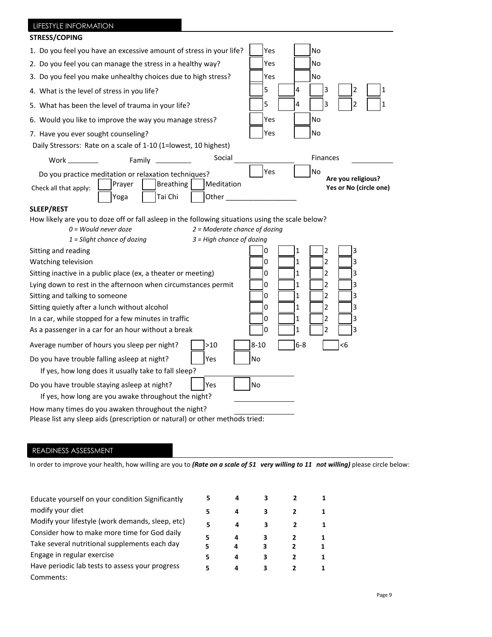| LIFESTYLE INFORMATION                                                                                                                                                                                                                         |                                 |          |              |                                              |  |
|-----------------------------------------------------------------------------------------------------------------------------------------------------------------------------------------------------------------------------------------------|---------------------------------|----------|--------------|----------------------------------------------|--|
| <b>STRESS/COPING</b>                                                                                                                                                                                                                          |                                 |          |              |                                              |  |
| 1. Do you feel you have an excessive amount of stress in your life?                                                                                                                                                                           |                                 | Yes      |              | No                                           |  |
| 2. Do you feel you can manage the stress in a healthy way?                                                                                                                                                                                    |                                 | Yes      |              | No                                           |  |
| 3. Do you feel you make unhealthy choices due to high stress?                                                                                                                                                                                 |                                 | Yes      |              | No                                           |  |
| 4. What is the level of stress in you life?                                                                                                                                                                                                   |                                 | 5        | 4            | 3<br>2<br>1                                  |  |
| 5. What has been the level of trauma in your life?                                                                                                                                                                                            |                                 | 5        | 4            | 3<br>$\overline{2}$                          |  |
| 6. Would you like to improve the way you manage stress?                                                                                                                                                                                       |                                 | Yes      |              | No                                           |  |
| 7. Have you ever sought counseling?                                                                                                                                                                                                           |                                 | Yes      |              | No                                           |  |
| Daily Stressors: Rate on a scale of 1-10 (1=lowest, 10 highest)                                                                                                                                                                               |                                 |          |              |                                              |  |
| Family<br><b>Work</b> in the monomer of the monomer of the monomer of the monomer of the monomer of the monomer of the monomer of the monomer of the monomer of the monomer of the monomer of the monomer of the monomer of the monomer of th | Social                          |          |              | Finances                                     |  |
| Do you practice meditation or relaxation techniques?                                                                                                                                                                                          |                                 | Yes      |              | No                                           |  |
| <b>Breathing</b><br>Prayer<br>Check all that apply:                                                                                                                                                                                           | Meditation                      |          |              | Are you religious?<br>Yes or No (circle one) |  |
| Tai Chi<br>Yoga                                                                                                                                                                                                                               | Other                           |          |              |                                              |  |
| <b>SLEEP/REST</b>                                                                                                                                                                                                                             |                                 |          |              |                                              |  |
| How likely are you to doze off or fall asleep in the following situations using the scale below?                                                                                                                                              |                                 |          |              |                                              |  |
| $0 =$ Would never doze                                                                                                                                                                                                                        | $2$ = Moderate chance of dozing |          |              |                                              |  |
| $1 =$ Slight chance of dozing                                                                                                                                                                                                                 | $3$ = High chance of dozing     |          |              |                                              |  |
| Sitting and reading                                                                                                                                                                                                                           |                                 | 0        | 1            | 3<br>2                                       |  |
| Watching television                                                                                                                                                                                                                           |                                 | 0        | $\mathbf{1}$ | $\overline{2}$<br>3                          |  |
| Sitting inactive in a public place (ex, a theater or meeting)                                                                                                                                                                                 |                                 | 0        | 1            | 3<br>2                                       |  |
| Lying down to rest in the afternoon when circumstances permit                                                                                                                                                                                 |                                 | 0        | 1            | 3<br>2                                       |  |
| Sitting and talking to someone                                                                                                                                                                                                                |                                 | 0        | 1            | 3<br>2                                       |  |
| Sitting quietly after a lunch without alcohol                                                                                                                                                                                                 |                                 | 0        | 1            | 2<br>3                                       |  |
| In a car, while stopped for a few minutes in traffic                                                                                                                                                                                          | 0                               | 1        | 3<br>2       |                                              |  |
| As a passenger in a car for an hour without a break<br>3<br>0<br>1<br>2                                                                                                                                                                       |                                 |          |              |                                              |  |
| Average number of hours you sleep per night?                                                                                                                                                                                                  | >10                             | $8 - 10$ | $6 - 8$      | <6                                           |  |
| Do you have trouble falling asleep at night?<br>Yes<br>No                                                                                                                                                                                     |                                 |          |              |                                              |  |
| If yes, how long does it usually take to fall sleep?                                                                                                                                                                                          |                                 |          |              |                                              |  |
| Do you have trouble staying asleep at night?                                                                                                                                                                                                  | Yes                             | No       |              |                                              |  |
| If yes, how long are you awake throughout the night?                                                                                                                                                                                          |                                 |          |              |                                              |  |
| How many times do you awaken throughout the night?<br>Please list any sleep aids (prescription or natural) or other methods tried:                                                                                                            |                                 |          |              |                                              |  |

# READINESS ASSESSMENT

In order to improve your health, how willing are you to *(Rate on a scale of 51 very willing to 11 not willing)* please circle below:

| Educate yourself on your condition Significantly | 5 | 4 | з |  |
|--------------------------------------------------|---|---|---|--|
| modify your diet                                 | 5 | 4 |   |  |
| Modify your lifestyle (work demands, sleep, etc) | 5 | 4 | 3 |  |
| Consider how to make more time for God daily     | 5 | 4 | 3 |  |
| Take several nutritional supplements each day    |   | 4 | 3 |  |
| Engage in regular exercise                       |   | 4 | з |  |
| Have periodic lab tests to assess your progress  | 5 | 4 |   |  |
| Comments:                                        |   |   |   |  |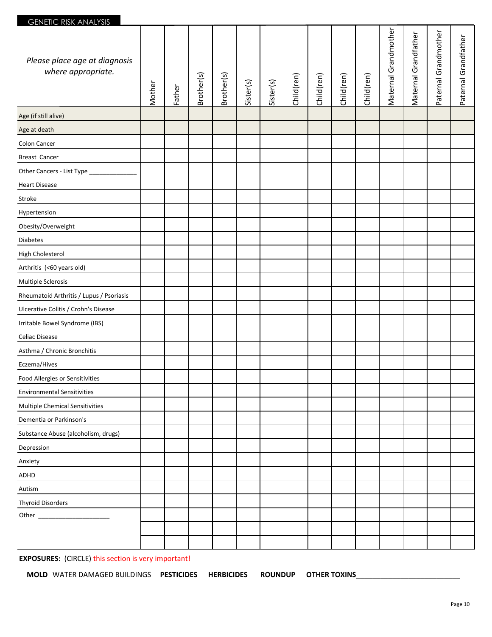## GENETIC RISK ANALYSIS

| <u>ULINEIIU KIJN AINALI JIJ</u>                     |        |        |            |            |           |           |            |            |            |            |                      |                      |                      |                      |
|-----------------------------------------------------|--------|--------|------------|------------|-----------|-----------|------------|------------|------------|------------|----------------------|----------------------|----------------------|----------------------|
| Please place age at diagnosis<br>where appropriate. | Mother | Father | Brother(s) | Brother(s) | Sister(s) | Sister(s) | Child(ren) | Child(ren) | Child(ren) | Child(ren) | Maternal Grandmother | Maternal Grandfather | Paternal Grandmother | Paternal Grandfather |
| Age (if still alive)                                |        |        |            |            |           |           |            |            |            |            |                      |                      |                      |                      |
| Age at death                                        |        |        |            |            |           |           |            |            |            |            |                      |                      |                      |                      |
| Colon Cancer                                        |        |        |            |            |           |           |            |            |            |            |                      |                      |                      |                      |
| Breast Cancer                                       |        |        |            |            |           |           |            |            |            |            |                      |                      |                      |                      |
| Other Cancers - List Type                           |        |        |            |            |           |           |            |            |            |            |                      |                      |                      |                      |
| <b>Heart Disease</b>                                |        |        |            |            |           |           |            |            |            |            |                      |                      |                      |                      |
| Stroke                                              |        |        |            |            |           |           |            |            |            |            |                      |                      |                      |                      |
| Hypertension                                        |        |        |            |            |           |           |            |            |            |            |                      |                      |                      |                      |
| Obesity/Overweight                                  |        |        |            |            |           |           |            |            |            |            |                      |                      |                      |                      |
| <b>Diabetes</b>                                     |        |        |            |            |           |           |            |            |            |            |                      |                      |                      |                      |
| High Cholesterol                                    |        |        |            |            |           |           |            |            |            |            |                      |                      |                      |                      |
| Arthritis (<60 years old)                           |        |        |            |            |           |           |            |            |            |            |                      |                      |                      |                      |
| Multiple Sclerosis                                  |        |        |            |            |           |           |            |            |            |            |                      |                      |                      |                      |
| Rheumatoid Arthritis / Lupus / Psoriasis            |        |        |            |            |           |           |            |            |            |            |                      |                      |                      |                      |
| Ulcerative Colitis / Crohn's Disease                |        |        |            |            |           |           |            |            |            |            |                      |                      |                      |                      |
| Irritable Bowel Syndrome (IBS)                      |        |        |            |            |           |           |            |            |            |            |                      |                      |                      |                      |
| Celiac Disease                                      |        |        |            |            |           |           |            |            |            |            |                      |                      |                      |                      |
| Asthma / Chronic Bronchitis                         |        |        |            |            |           |           |            |            |            |            |                      |                      |                      |                      |
| Eczema/Hives                                        |        |        |            |            |           |           |            |            |            |            |                      |                      |                      |                      |
| Food Allergies or Sensitivities                     |        |        |            |            |           |           |            |            |            |            |                      |                      |                      |                      |
| <b>Environmental Sensitivities</b>                  |        |        |            |            |           |           |            |            |            |            |                      |                      |                      |                      |
| <b>Multiple Chemical Sensitivities</b>              |        |        |            |            |           |           |            |            |            |            |                      |                      |                      |                      |
| Dementia or Parkinson's                             |        |        |            |            |           |           |            |            |            |            |                      |                      |                      |                      |
| Substance Abuse (alcoholism, drugs)                 |        |        |            |            |           |           |            |            |            |            |                      |                      |                      |                      |
| Depression                                          |        |        |            |            |           |           |            |            |            |            |                      |                      |                      |                      |
| Anxiety                                             |        |        |            |            |           |           |            |            |            |            |                      |                      |                      |                      |
| ADHD                                                |        |        |            |            |           |           |            |            |            |            |                      |                      |                      |                      |
| Autism                                              |        |        |            |            |           |           |            |            |            |            |                      |                      |                      |                      |
| <b>Thyroid Disorders</b>                            |        |        |            |            |           |           |            |            |            |            |                      |                      |                      |                      |
|                                                     |        |        |            |            |           |           |            |            |            |            |                      |                      |                      |                      |
|                                                     |        |        |            |            |           |           |            |            |            |            |                      |                      |                      |                      |
|                                                     |        |        |            |            |           |           |            |            |            |            |                      |                      |                      |                      |

**EXPOSURES:** (CIRCLE) this section is very important!

**MOLD** WATER DAMAGED BUILDINGS **PESTICIDES HERBICIDES ROUNDUP OTHER TOXINS**\_\_\_\_\_\_\_\_\_\_\_\_\_\_\_\_\_\_\_\_\_\_\_\_\_\_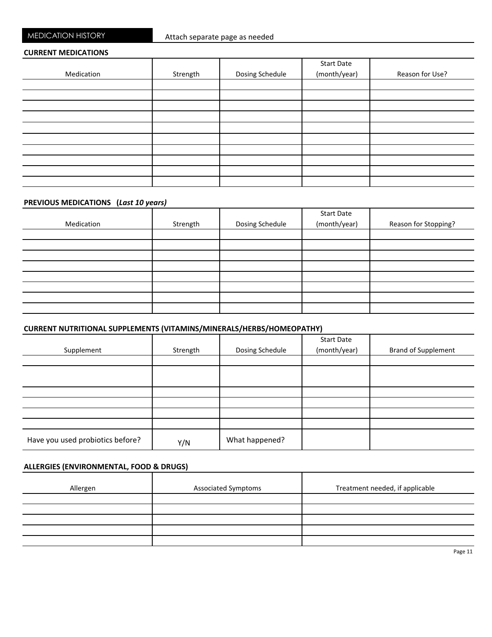MEDICATION HISTORY

#### **CURRENT MEDICATIONS**

|            |          |                 | <b>Start Date</b> |                 |
|------------|----------|-----------------|-------------------|-----------------|
| Medication | Strength | Dosing Schedule | (month/year)      | Reason for Use? |
|            |          |                 |                   |                 |
|            |          |                 |                   |                 |
|            |          |                 |                   |                 |
|            |          |                 |                   |                 |
|            |          |                 |                   |                 |
|            |          |                 |                   |                 |
|            |          |                 |                   |                 |
|            |          |                 |                   |                 |
|            |          |                 |                   |                 |
|            |          |                 |                   |                 |

## **PREVIOUS MEDICATIONS** (Last 10 years)

|            |          |                 | <b>Start Date</b> |                      |
|------------|----------|-----------------|-------------------|----------------------|
| Medication | Strength | Dosing Schedule | (month/year)      | Reason for Stopping? |
|            |          |                 |                   |                      |
|            |          |                 |                   |                      |
|            |          |                 |                   |                      |
|            |          |                 |                   |                      |
|            |          |                 |                   |                      |
|            |          |                 |                   |                      |
|            |          |                 |                   |                      |
|            |          |                 |                   |                      |

## **CURRENT NUTRITIONAL SUPPLEMENTS (VITAMINS/MINERALS/HERBS/HOMEOPATHY)**

|                                  |          |                 | <b>Start Date</b> |                            |
|----------------------------------|----------|-----------------|-------------------|----------------------------|
| Supplement                       | Strength | Dosing Schedule | (month/year)      | <b>Brand of Supplement</b> |
|                                  |          |                 |                   |                            |
|                                  |          |                 |                   |                            |
|                                  |          |                 |                   |                            |
|                                  |          |                 |                   |                            |
|                                  |          |                 |                   |                            |
|                                  |          |                 |                   |                            |
|                                  |          |                 |                   |                            |
| Have you used probiotics before? | Y/N      | What happened?  |                   |                            |

#### **ALLERGIES (ENVIRONMENTAL, FOOD & DRUGS)**

Page 11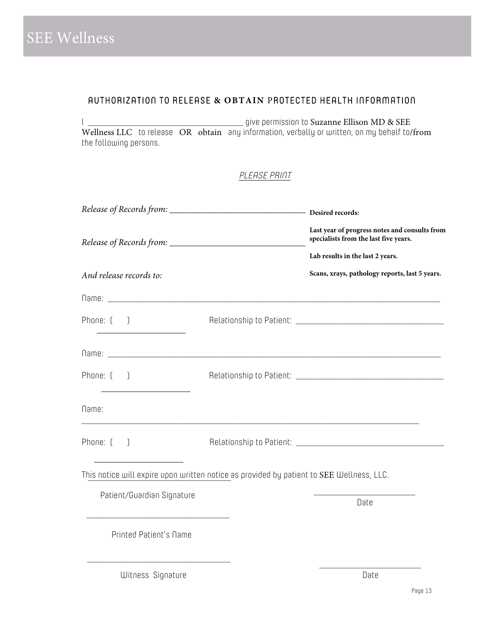# AUTHORIZATION TO RELEASE **& OBTAIN** PROTECTED HEALTH INFORMATION

I \_\_\_\_\_\_\_\_\_\_\_\_\_\_\_\_\_\_\_\_\_\_\_\_\_\_\_\_\_\_\_\_\_\_ give permission to Suzanne Ellison MD & SEE Wellness LLC to release OR obtain any information, verbally or written, on my behalf to/from the following persons.

PLEASE PRINT

|                                                                                          | Last year of progress notes and consults from<br>specialists from the last five years. |                                                |  |  |  |
|------------------------------------------------------------------------------------------|----------------------------------------------------------------------------------------|------------------------------------------------|--|--|--|
|                                                                                          |                                                                                        | Lab results in the last 2 years.               |  |  |  |
| And release records to:                                                                  |                                                                                        | Scans, xrays, pathology reports, last 5 years. |  |  |  |
|                                                                                          |                                                                                        |                                                |  |  |  |
| Phone: $[$ $]$                                                                           |                                                                                        |                                                |  |  |  |
|                                                                                          |                                                                                        |                                                |  |  |  |
| Phone: $\begin{bmatrix} \phantom{-} \end{bmatrix}$                                       |                                                                                        |                                                |  |  |  |
| Name:                                                                                    |                                                                                        |                                                |  |  |  |
| Phone: $\begin{bmatrix} \phantom{-} \end{bmatrix}$                                       |                                                                                        |                                                |  |  |  |
| This notice will expire upon written notice as provided by patient to SEE Wellness, LLC. |                                                                                        |                                                |  |  |  |
| Patient/Guardian Signature                                                               |                                                                                        | Date                                           |  |  |  |
| Printed Patient's Name                                                                   |                                                                                        |                                                |  |  |  |
| Witness Signature                                                                        |                                                                                        | Date                                           |  |  |  |

Page 13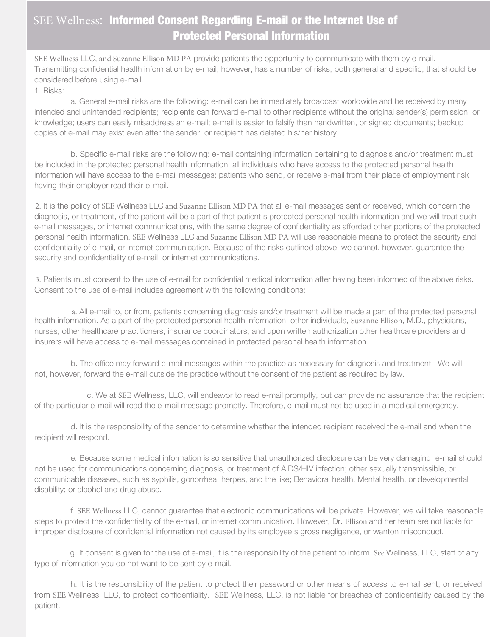# SEE Wellness: Informed Consent Regarding E-mail or the Internet Use of Protected Personal Information

SEE Wellness LLC, and Suzanne Ellison MD PA provide patients the opportunity to communicate with them by e-mail. Transmitting confidential health information by e-mail, however, has a number of risks, both general and specific, that should be considered before using e-mail.

1. Risks:

a. General e-mail risks are the following: e-mail can be immediately broadcast worldwide and be received by many intended and unintended recipients; recipients can forward e-mail to other recipients without the original sender(s) permission, or knowledge; users can easily misaddress an e-mail; e-mail is easier to falsify than handwritten, or signed documents; backup copies of e-mail may exist even after the sender, or recipient has deleted his/her history.

b. Specific e-mail risks are the following: e-mail containing information pertaining to diagnosis and/or treatment must be included in the protected personal health information; all individuals who have access to the protected personal health information will have access to the e-mail messages; patients who send, or receive e-mail from their place of employment risk having their employer read their e-mail.

2. It is the policy of SEE Wellness LLC and Suzanne Ellison MD PA that all e-mail messages sent or received, which concern the diagnosis, or treatment, of the patient will be a part of that patient's protected personal health information and we will treat such e-mail messages, or internet communications, with the same degree of confidentiality as afforded other portions of the protected personal health information. SEE Wellness LLC and Suzanne Ellison MD PA will use reasonable means to protect the security and confidentiality of e-mail, or internet communication. Because of the risks outlined above, we cannot, however, guarantee the security and confidentiality of e-mail, or internet communications.

3. Patients must consent to the use of e-mail for confidential medical information after having been informed of the above risks. Consent to the use of e-mail includes agreement with the following conditions:

a. All e-mail to, or from, patients concerning diagnosis and/or treatment will be made a part of the protected personal health information. As a part of the protected personal health information, other individuals, Suzanne Ellison, M.D., physicians, nurses, other healthcare practitioners, insurance coordinators, and upon written authorization other healthcare providers and insurers will have access to e-mail messages contained in protected personal health information.

b. The office may forward e-mail messages within the practice as necessary for diagnosis and treatment. We will not, however, forward the e-mail outside the practice without the consent of the patient as required by law.

c. We at SEE Wellness, LLC, will endeavor to read e-mail promptly, but can provide no assurance that the recipient of the particular e-mail will read the e-mail message promptly. Therefore, e-mail must not be used in a medical emergency.

d. It is the responsibility of the sender to determine whether the intended recipient received the e-mail and when the recipient will respond.

e. Because some medical information is so sensitive that unauthorized disclosure can be very damaging, e-mail should not be used for communications concerning diagnosis, or treatment of AIDS/HIV infection; other sexually transmissible, or communicable diseases, such as syphilis, gonorrhea, herpes, and the like; Behavioral health, Mental health, or developmental disability; or alcohol and drug abuse.

f. SEE Wellness LLC, cannot guarantee that electronic communications will be private. However, we will take reasonable steps to protect the confidentiality of the e-mail, or internet communication. However, Dr. Ellison and her team are not liable for improper disclosure of confidential information not caused by its employee's gross negligence, or wanton misconduct.

g. If consent is given for the use of e-mail, it is the responsibility of the patient to inform See Wellness, LLC, staff of any type of information you do not want to be sent by e-mail.

h. It is the responsibility of the patient to protect their password or other means of access to e-mail sent, or received, from SEE Wellness, LLC, to protect confidentiality. SEE Wellness, LLC, is not liable for breaches of confidentiality caused by the patient.